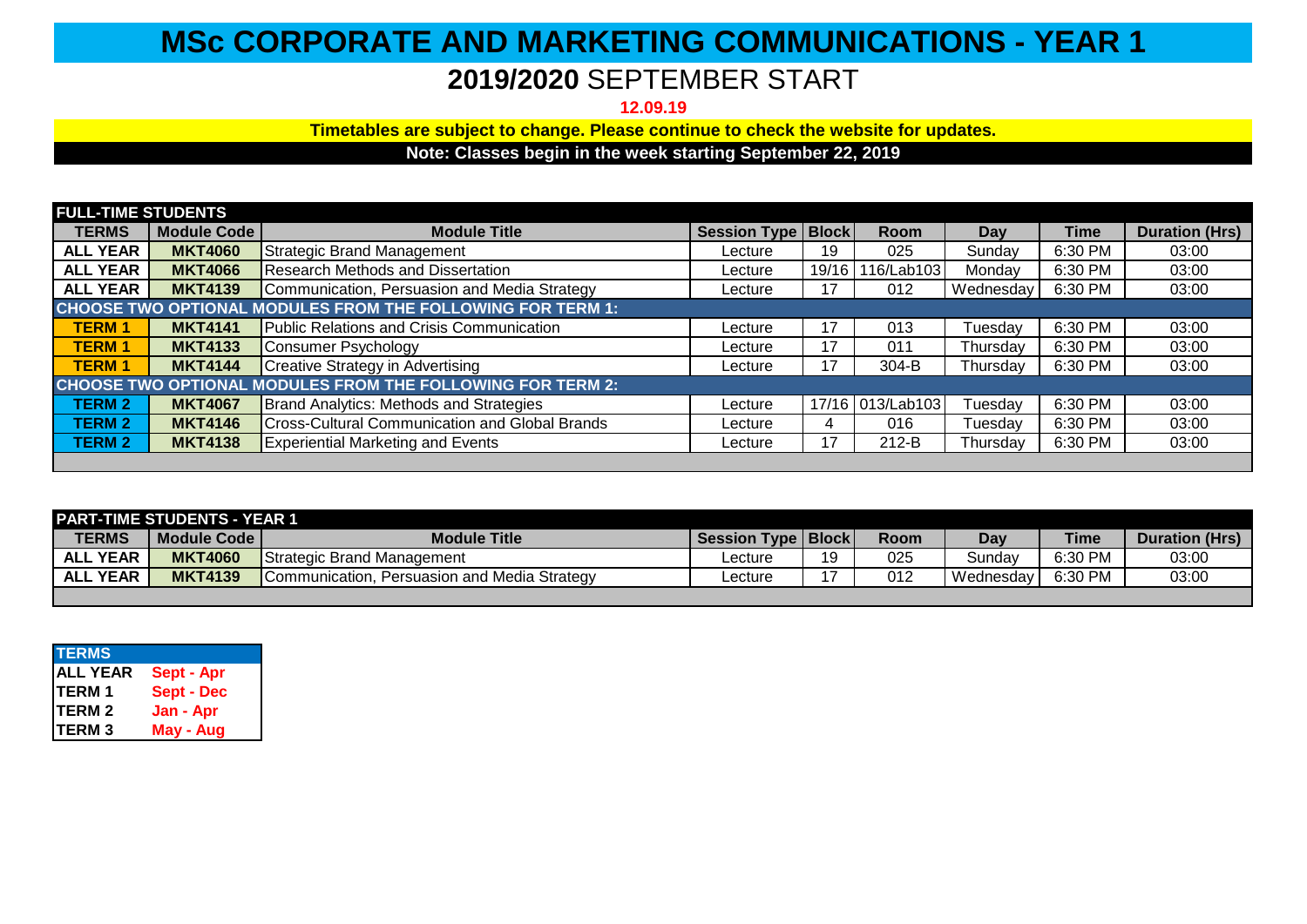## **MSc CORPORATE AND MARKETING COMMUNICATIONS - YEAR 1**

## **2019/2020** SEPTEMBER START

**12.09.19**

**Timetables are subject to change. Please continue to check the website for updates.**

**Note: Classes begin in the week starting September 22, 2019**

| <b>FULL-TIME STUDENTS</b>                                         |                    |                                                       |                      |       |                  |           |             |                       |
|-------------------------------------------------------------------|--------------------|-------------------------------------------------------|----------------------|-------|------------------|-----------|-------------|-----------------------|
| <b>TERMS</b>                                                      | <b>Module Code</b> | <b>Module Title</b>                                   | Session Type   Block |       | <b>Room</b>      | Day       | <b>Time</b> | <b>Duration (Hrs)</b> |
| <b>ALL YEAR</b>                                                   | <b>MKT4060</b>     | <b>Strategic Brand Management</b>                     | Lecture              | 19    | 025              | Sunday    | 6:30 PM     | 03:00                 |
| <b>ALL YEAR</b>                                                   | <b>MKT4066</b>     | <b>Research Methods and Dissertation</b>              | Lecture              | 19/16 |                  | Monday    | 6:30 PM     | 03:00                 |
| <b>ALL YEAR</b>                                                   | <b>MKT4139</b>     | Communication, Persuasion and Media Strategy          | Lecture              | 17    | 012              | Wednesday | 6:30 PM     | 03:00                 |
| <b>CHOOSE TWO OPTIONAL MODULES FROM THE FOLLOWING FOR TERM 1:</b> |                    |                                                       |                      |       |                  |           |             |                       |
| <b>TERM1</b>                                                      | <b>MKT4141</b>     | Public Relations and Crisis Communication             | Lecture              | 17    | 013              | Tuesday   | 6:30 PM     | 03:00                 |
| <b>TERM1</b>                                                      | <b>MKT4133</b>     | Consumer Psychology                                   | Lecture              | 17    | 011              | Thursday  | 6:30 PM     | 03:00                 |
| <b>TERM1</b>                                                      | <b>MKT4144</b>     | Creative Strategy in Advertising                      | Lecture              | 17    | 304-B            | Thursday  | 6:30 PM     | 03:00                 |
| <b>CHOOSE TWO OPTIONAL MODULES FROM THE FOLLOWING FOR TERM 2:</b> |                    |                                                       |                      |       |                  |           |             |                       |
| <b>TERM 2</b>                                                     | <b>MKT4067</b>     | Brand Analytics: Methods and Strategies               | Lecture              |       | 17/16 013/Lab103 | Tuesday   | 6:30 PM     | 03:00                 |
| <b>TERM 2</b>                                                     | <b>MKT4146</b>     | <b>Cross-Cultural Communication and Global Brands</b> | Lecture              | 4     | 016              | Tuesdav   | 6:30 PM     | 03:00                 |
| <b>TERM 2</b>                                                     | <b>MKT4138</b>     | <b>Experiential Marketing and Events</b>              | Lecture              | 17    | 212-B            | Thursday  | 6:30 PM     | 03:00                 |
|                                                                   |                    |                                                       |                      |       |                  |           |             |                       |

| <b>PART-TIME STUDENTS - YEAR 1</b> |                |                                                 |                               |    |             |           |             |                       |
|------------------------------------|----------------|-------------------------------------------------|-------------------------------|----|-------------|-----------|-------------|-----------------------|
| <b>TERMS</b>                       | Module Code I  | <b>Module Title</b>                             | <b>Session Type   Block  </b> |    | <b>Room</b> | Dav       | <b>Time</b> | <b>Duration (Hrs)</b> |
| <b>ALL YEAR</b>                    | <b>MKT4060</b> | <b>Strategic Brand Management</b>               | _ecture                       | 19 | 025         | Sundav    | 6:30 PM     | 03:00                 |
| <b>ALL YEAR</b>                    | <b>MKT4139</b> | Persuasion and Media Strategy<br>Communication. | _ecture                       |    | 012         | Wednesdav | 6:30 PM     | 03:00                 |
|                                    |                |                                                 |                               |    |             |           |             |                       |

| <b>TERMS</b>    |                   |
|-----------------|-------------------|
| <b>ALL YEAR</b> | Sept - Apr        |
| <b>TERM1</b>    | <b>Sept - Dec</b> |
| <b>TERM 2</b>   | Jan - Apr         |
| <b>TERM3</b>    | May - Aug         |